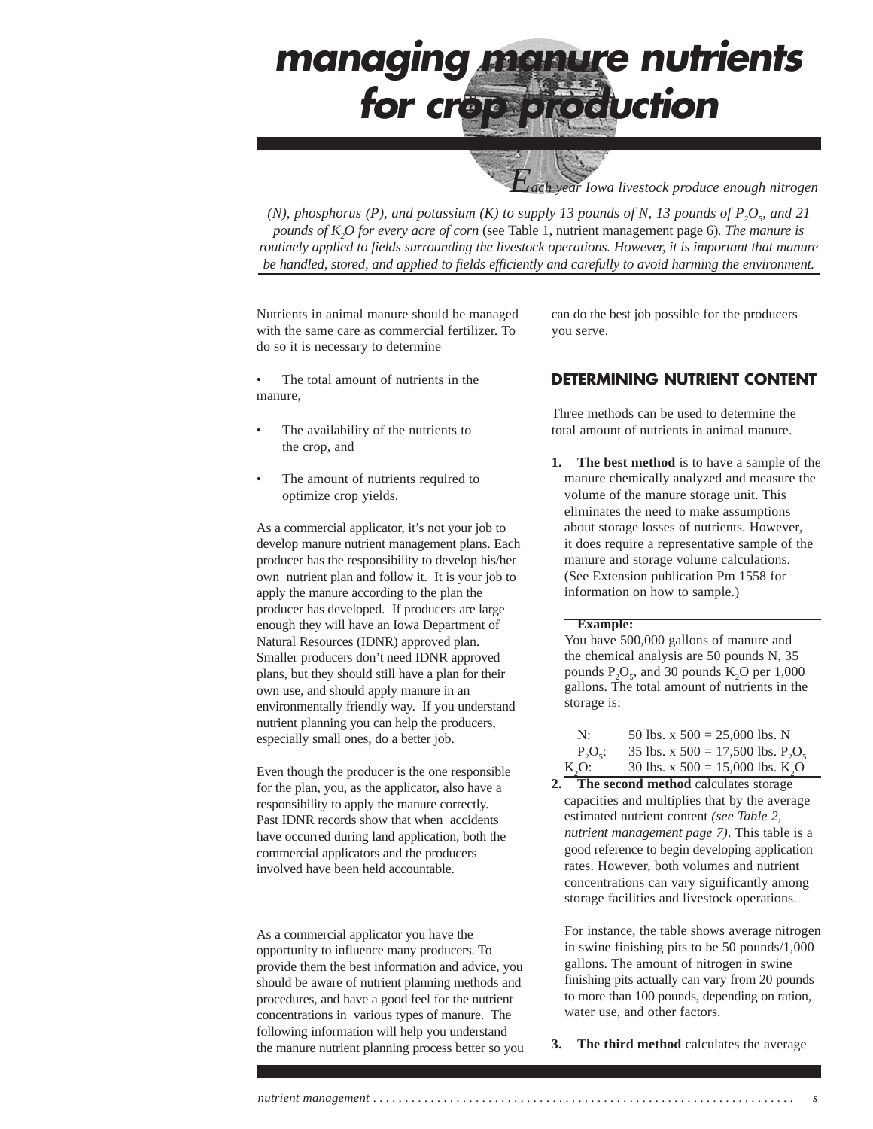*Each year Iowa livestock produce enough nitrogen*

*(N), phosphorus (P), and potassium (K) to supply 13 pounds of N, 13 pounds of*  $P_2O_s$  *and 21 pounds of K2 O for every acre of corn* (see Table 1, nutrient management page 6)*. The manure is routinely applied to fields surrounding the livestock operations. However, it is important that manure be handled, stored, and applied to fields efficiently and carefully to avoid harming the environment.*

Nutrients in animal manure should be managed with the same care as commercial fertilizer. To do so it is necessary to determine

The total amount of nutrients in the manure,

- The availability of the nutrients to the crop, and
- The amount of nutrients required to optimize crop yields.

As a commercial applicator, it's not your job to develop manure nutrient management plans. Each producer has the responsibility to develop his/her own nutrient plan and follow it. It is your job to apply the manure according to the plan the producer has developed. If producers are large enough they will have an Iowa Department of Natural Resources (IDNR) approved plan. Smaller producers don't need IDNR approved plans, but they should still have a plan for their own use, and should apply manure in an environmentally friendly way. If you understand nutrient planning you can help the producers, especially small ones, do a better job.

Even though the producer is the one responsible for the plan, you, as the applicator, also have a responsibility to apply the manure correctly. Past IDNR records show that when accidents have occurred during land application, both the commercial applicators and the producers involved have been held accountable.

As a commercial applicator you have the opportunity to influence many producers. To provide them the best information and advice, you should be aware of nutrient planning methods and procedures, and have a good feel for the nutrient concentrations in various types of manure. The following information will help you understand the manure nutrient planning process better so you can do the best job possible for the producers you serve.

### **DETERMINING NUTRIENT CONTENT**

Three methods can be used to determine the total amount of nutrients in animal manure.

**1. The best method** is to have a sample of the manure chemically analyzed and measure the volume of the manure storage unit. This eliminates the need to make assumptions about storage losses of nutrients. However, it does require a representative sample of the manure and storage volume calculations. (See Extension publication Pm 1558 for information on how to sample.)

#### **Example:**

You have 500,000 gallons of manure and the chemical analysis are 50 pounds N, 35 pounds  $P_2O_5$ , and 30 pounds K<sub>2</sub>O per 1,000 gallons. The total amount of nutrients in the storage is:

| N:         | 50 lbs. x $500 = 25,000$ lbs. N                |
|------------|------------------------------------------------|
| $P_2O_5$ : | 35 lbs. x 500 = 17,500 lbs. $P_2O_5$           |
| $K_2O$ :   | 30 lbs. x $500 = 15,000$ lbs. K <sub>2</sub> O |

**2. The second method** calculates storage capacities and multiplies that by the average estimated nutrient content *(see Table 2, nutrient management page 7)*. This table is a good reference to begin developing application rates. However, both volumes and nutrient concentrations can vary significantly among storage facilities and livestock operations.

For instance, the table shows average nitrogen in swine finishing pits to be 50 pounds/1,000 gallons. The amount of nitrogen in swine finishing pits actually can vary from 20 pounds to more than 100 pounds, depending on ration, water use, and other factors.

**3.** The third method calculates the average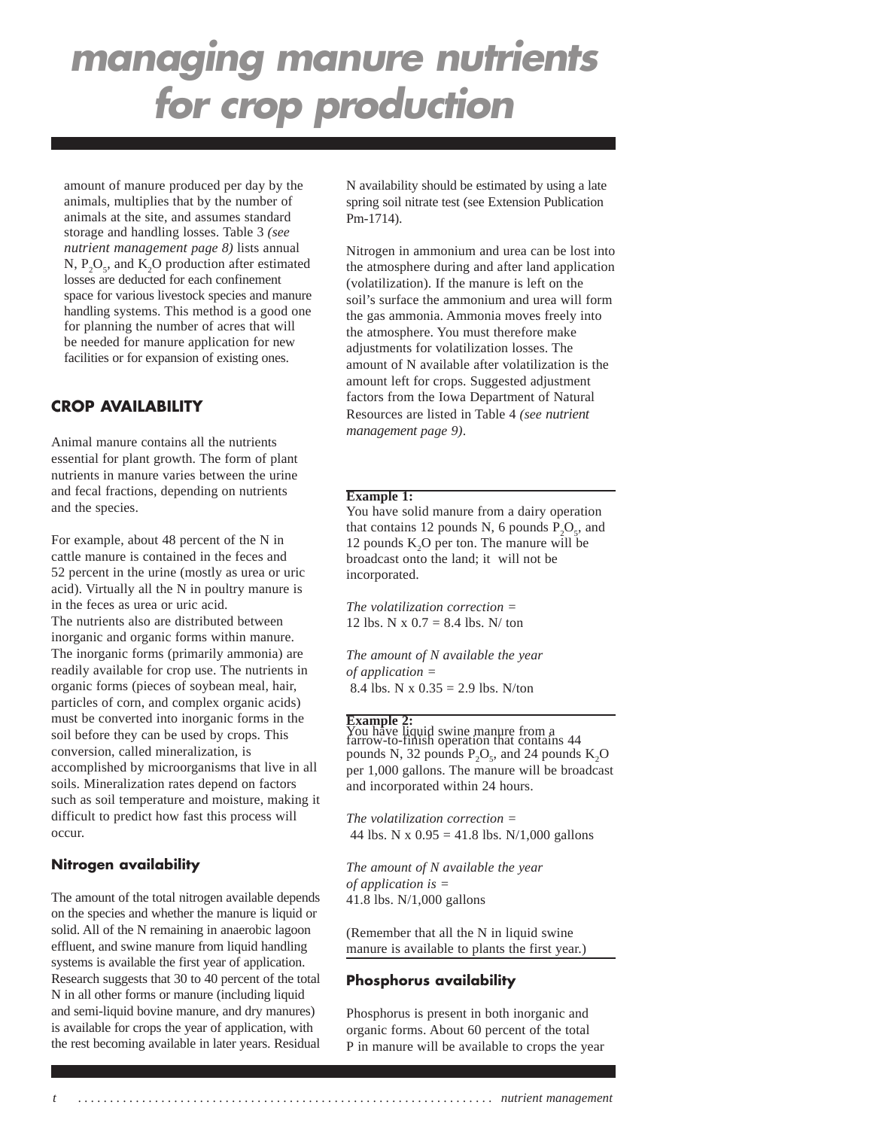amount of manure produced per day by the animals, multiplies that by the number of animals at the site, and assumes standard storage and handling losses. Table 3 *(see nutrient management page 8)* lists annual  $N, P, O<sub>z</sub>$ , and  $K<sub>2</sub>O$  production after estimated losses are deducted for each confinement space for various livestock species and manure handling systems. This method is a good one for planning the number of acres that will be needed for manure application for new facilities or for expansion of existing ones.

### **CROP AVAILABILITY**

Animal manure contains all the nutrients essential for plant growth. The form of plant nutrients in manure varies between the urine and fecal fractions, depending on nutrients and the species.

For example, about 48 percent of the N in cattle manure is contained in the feces and 52 percent in the urine (mostly as urea or uric acid). Virtually all the N in poultry manure is in the feces as urea or uric acid. The nutrients also are distributed between inorganic and organic forms within manure. The inorganic forms (primarily ammonia) are readily available for crop use. The nutrients in organic forms (pieces of soybean meal, hair, particles of corn, and complex organic acids) must be converted into inorganic forms in the soil before they can be used by crops. This conversion, called mineralization, is accomplished by microorganisms that live in all soils. Mineralization rates depend on factors such as soil temperature and moisture, making it difficult to predict how fast this process will occur.

### **Nitrogen availability**

The amount of the total nitrogen available depends on the species and whether the manure is liquid or solid. All of the N remaining in anaerobic lagoon effluent, and swine manure from liquid handling systems is available the first year of application. Research suggests that 30 to 40 percent of the total N in all other forms or manure (including liquid and semi-liquid bovine manure, and dry manures) is available for crops the year of application, with the rest becoming available in later years. Residual N availability should be estimated by using a late spring soil nitrate test (see Extension Publication Pm-1714).

Nitrogen in ammonium and urea can be lost into the atmosphere during and after land application (volatilization). If the manure is left on the soil's surface the ammonium and urea will form the gas ammonia. Ammonia moves freely into the atmosphere. You must therefore make adjustments for volatilization losses. The amount of N available after volatilization is the amount left for crops. Suggested adjustment factors from the Iowa Department of Natural Resources are listed in Table 4 *(see nutrient management page 9)*.

#### **Example 1:**

You have solid manure from a dairy operation that contains 12 pounds N, 6 pounds  $P_2O_5$ , and 12 pounds  $K<sub>2</sub>O$  per ton. The manure will be broadcast onto the land; it will not be incorporated.

*The volatilization correction =* 12 lbs. N x  $0.7 = 8.4$  lbs. N/ ton

*The amount of N available the year of application =* 8.4 lbs. N x  $0.35 = 2.9$  lbs. N/ton

### **Example 2:**

You have liquid swine manure from a farrow-to-finish operation that contains 44 pounds N, 32 pounds  $P_2O_5$ , and 24 pounds  $K_2O$ per 1,000 gallons. The manure will be broadcast and incorporated within 24 hours.

*The volatilization correction =* 44 lbs. N x  $0.95 = 41.8$  lbs. N/1,000 gallons

*The amount of N available the year of application is =* 41.8 lbs. N/1,000 gallons

(Remember that all the N in liquid swine manure is available to plants the first year.)

#### **Phosphorus availability**

Phosphorus is present in both inorganic and organic forms. About 60 percent of the total P in manure will be available to crops the year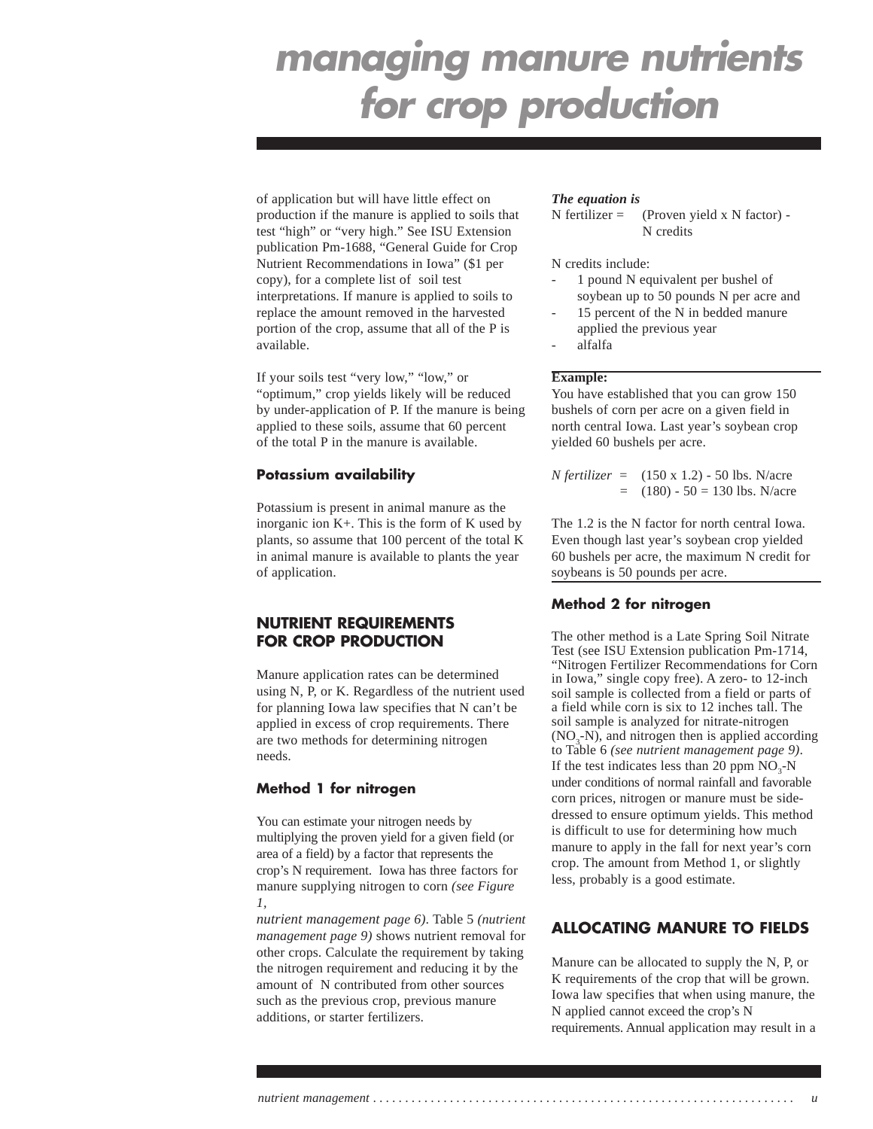of application but will have little effect on production if the manure is applied to soils that test "high" or "very high." See ISU Extension publication Pm-1688, "General Guide for Crop Nutrient Recommendations in Iowa" (\$1 per copy), for a complete list of soil test interpretations. If manure is applied to soils to replace the amount removed in the harvested portion of the crop, assume that all of the P is available.

If your soils test "very low," "low," or "optimum," crop yields likely will be reduced by under-application of P. If the manure is being applied to these soils, assume that 60 percent of the total P in the manure is available.

#### **Potassium availability**

Potassium is present in animal manure as the inorganic ion K+. This is the form of K used by plants, so assume that 100 percent of the total K in animal manure is available to plants the year of application.

### **NUTRIENT REQUIREMENTS FOR CROP PRODUCTION**

Manure application rates can be determined using N, P, or K. Regardless of the nutrient used for planning Iowa law specifies that N can't be applied in excess of crop requirements. There are two methods for determining nitrogen needs.

### **Method 1 for nitrogen**

You can estimate your nitrogen needs by multiplying the proven yield for a given field (or area of a field) by a factor that represents the crop's N requirement. Iowa has three factors for manure supplying nitrogen to corn *(see Figure 1,*

*nutrient management page 6)*. Table 5 *(nutrient management page 9)* shows nutrient removal for other crops. Calculate the requirement by taking the nitrogen requirement and reducing it by the amount of N contributed from other sources such as the previous crop, previous manure additions, or starter fertilizers.

#### *The equation is*

 $N$  fertilizer = (Proven yield x N factor) -N credits

N credits include:

- 1 pound N equivalent per bushel of soybean up to 50 pounds N per acre and
- 15 percent of the N in bedded manure applied the previous year
- alfalfa

### **Example:**

You have established that you can grow 150 bushels of corn per acre on a given field in north central Iowa. Last year's soybean crop yielded 60 bushels per acre.

*N fertilizer* = (150 x 1.2) - 50 lbs. N/acre  $(180) - 50 = 130$  lbs. N/acre

The 1.2 is the N factor for north central Iowa. Even though last year's soybean crop yielded 60 bushels per acre, the maximum N credit for soybeans is 50 pounds per acre.

### **Method 2 for nitrogen**

The other method is a Late Spring Soil Nitrate Test (see ISU Extension publication Pm-1714, "Nitrogen Fertilizer Recommendations for Corn in Iowa," single copy free). A zero- to 12-inch soil sample is collected from a field or parts of a field while corn is six to 12 inches tall. The soil sample is analyzed for nitrate-nitrogen  $(NO<sub>3</sub>-N)$ , and nitrogen then is applied according to Table 6 *(see nutrient management page 9)*. If the test indicates less than 20 ppm  $NO<sub>3</sub>$ -N under conditions of normal rainfall and favorable corn prices, nitrogen or manure must be sidedressed to ensure optimum yields. This method is difficult to use for determining how much manure to apply in the fall for next year's corn crop. The amount from Method 1, or slightly less, probably is a good estimate.

## **ALLOCATING MANURE TO FIELDS**

Manure can be allocated to supply the N, P, or K requirements of the crop that will be grown. Iowa law specifies that when using manure, the N applied cannot exceed the crop's N requirements. Annual application may result in a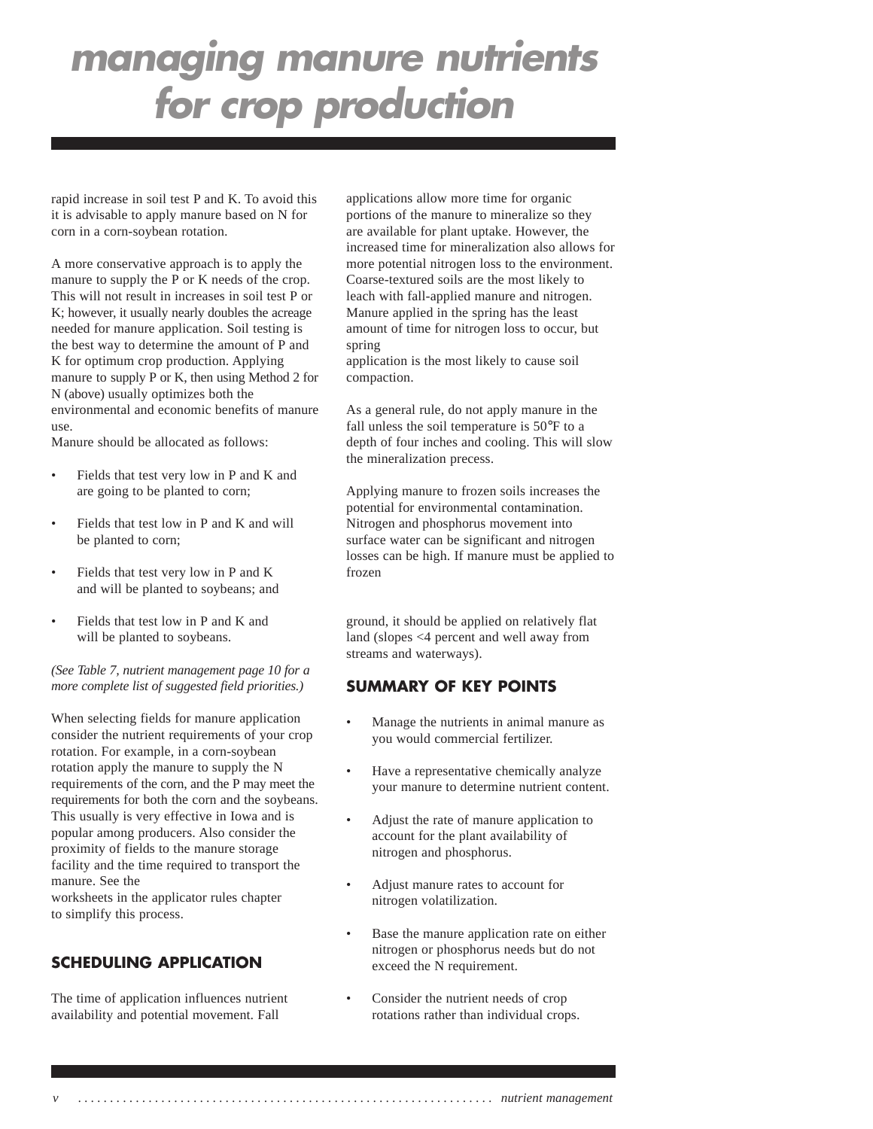rapid increase in soil test P and K. To avoid this it is advisable to apply manure based on N for corn in a corn-soybean rotation.

A more conservative approach is to apply the manure to supply the P or K needs of the crop. This will not result in increases in soil test P or K; however, it usually nearly doubles the acreage needed for manure application. Soil testing is the best way to determine the amount of P and K for optimum crop production. Applying manure to supply P or K, then using Method 2 for N (above) usually optimizes both the environmental and economic benefits of manure use.

Manure should be allocated as follows:

- Fields that test very low in P and K and are going to be planted to corn;
- Fields that test low in P and K and will be planted to corn;
- Fields that test very low in P and K and will be planted to soybeans; and
- Fields that test low in P and K and will be planted to soybeans.

*(See Table 7, nutrient management page 10 for a more complete list of suggested field priorities.)*

When selecting fields for manure application consider the nutrient requirements of your crop rotation. For example, in a corn-soybean rotation apply the manure to supply the N requirements of the corn, and the P may meet the requirements for both the corn and the soybeans. This usually is very effective in Iowa and is popular among producers. Also consider the proximity of fields to the manure storage facility and the time required to transport the manure. See the

worksheets in the applicator rules chapter to simplify this process.

### **SCHEDULING APPLICATION**

The time of application influences nutrient availability and potential movement. Fall

applications allow more time for organic portions of the manure to mineralize so they are available for plant uptake. However, the increased time for mineralization also allows for more potential nitrogen loss to the environment. Coarse-textured soils are the most likely to leach with fall-applied manure and nitrogen. Manure applied in the spring has the least amount of time for nitrogen loss to occur, but spring

application is the most likely to cause soil compaction.

As a general rule, do not apply manure in the fall unless the soil temperature is 50°F to a depth of four inches and cooling. This will slow the mineralization precess.

Applying manure to frozen soils increases the potential for environmental contamination. Nitrogen and phosphorus movement into surface water can be significant and nitrogen losses can be high. If manure must be applied to frozen

ground, it should be applied on relatively flat land (slopes <4 percent and well away from streams and waterways).

### **SUMMARY OF KEY POINTS**

- Manage the nutrients in animal manure as you would commercial fertilizer.
- Have a representative chemically analyze your manure to determine nutrient content.
- Adjust the rate of manure application to account for the plant availability of nitrogen and phosphorus.
- Adjust manure rates to account for nitrogen volatilization.
- Base the manure application rate on either nitrogen or phosphorus needs but do not exceed the N requirement.
- Consider the nutrient needs of crop rotations rather than individual crops.

*v . . . . . . . . . . . . . . . . . . . . . . . . . . . . . . . . . . . . . . . . . . . . . . . . . . . . . . . . . . . . . . . . . nutrient management*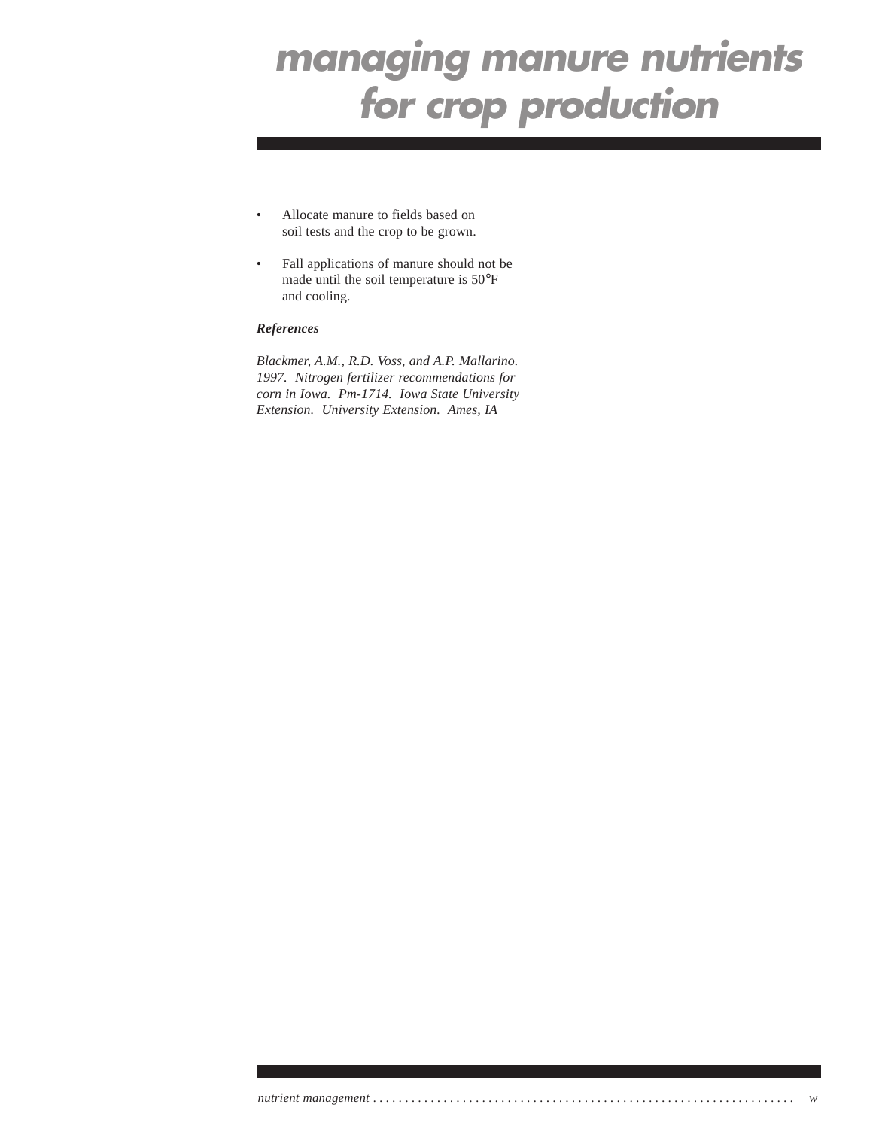- Allocate manure to fields based on soil tests and the crop to be grown.
- Fall applications of manure should not be made until the soil temperature is 50°F and cooling.

### *References*

*Blackmer, A.M., R.D. Voss, and A.P. Mallarino. 1997. Nitrogen fertilizer recommendations for corn in Iowa. Pm-1714. Iowa State University Extension. University Extension. Ames, IA*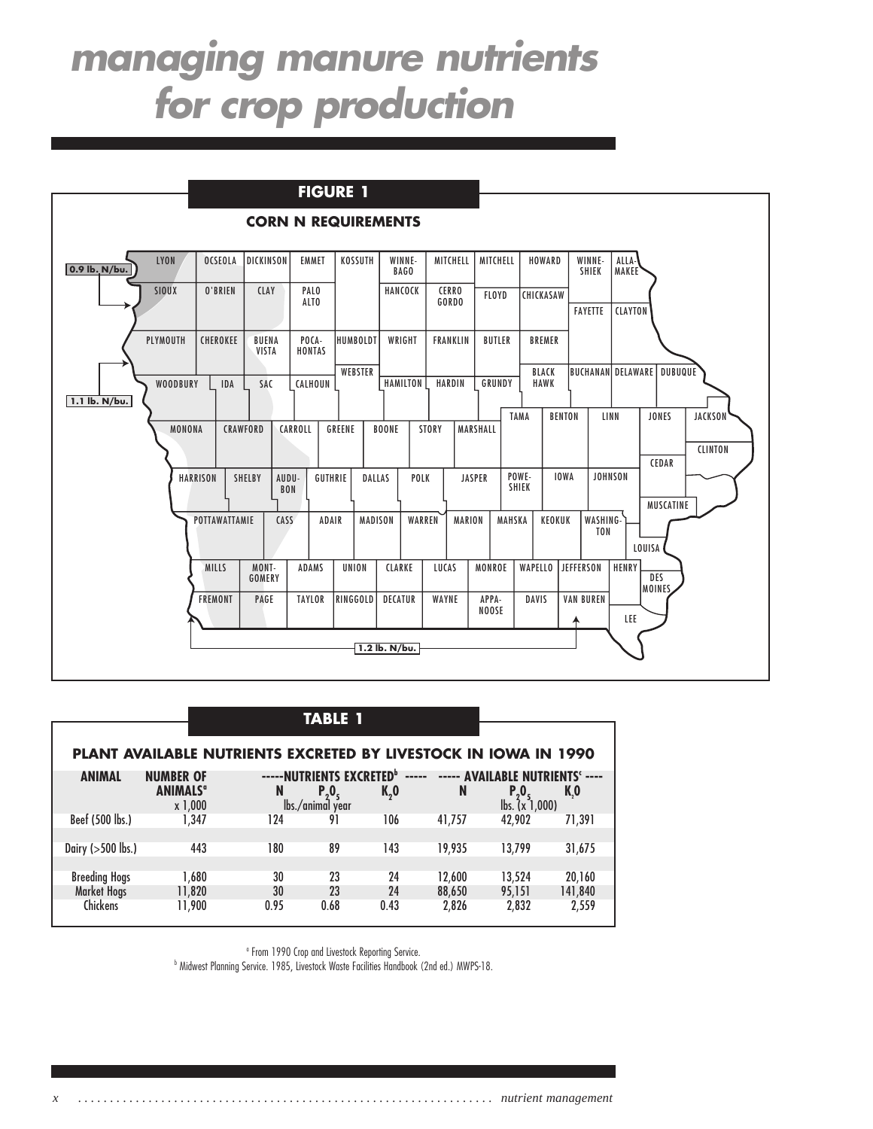

| TA 31: |
|--------|
|--------|

|                      | <b>PLANT AVAILABLE NUTRIENTS EXCRETED BY LIVESTOCK IN IOWA IN 1990</b> |                                           |                  |                                |        |                                                 |         |
|----------------------|------------------------------------------------------------------------|-------------------------------------------|------------------|--------------------------------|--------|-------------------------------------------------|---------|
| <b>ANIMAL</b>        | <b>NUMBER OF</b><br><b>ANIMALS<sup>a</sup></b>                         | -----NUTRIENTS EXCRETED <sup>b</sup><br>N | P, 0,            | $\cdots \cdots \cdots$<br>K, 0 | N      | ----- AVAILABLE NUTRIENTS' ----<br>$P_{2}0_{5}$ | K,O     |
|                      | x 1,000                                                                |                                           | lbs./animal year |                                |        | $\mathsf{lbs.}$ $(x\bar{1},000)$                |         |
| Beef (500 lbs.)      | 1.347                                                                  | 124                                       | 91               | 106                            | 41,757 | 42.902                                          | 71.391  |
|                      |                                                                        |                                           |                  |                                |        |                                                 |         |
| Dairy $(>500$ lbs.)  | 443                                                                    | 180                                       | 89               | 143                            | 19.935 | 13.799                                          | 31,675  |
|                      |                                                                        |                                           |                  |                                |        |                                                 |         |
| <b>Breeding Hogs</b> | 1.680                                                                  | 30                                        | 23               | 24                             | 12,600 | 13.524                                          | 20,160  |
| <b>Market Hogs</b>   | 11,820                                                                 | 30                                        | 23               | 24                             | 88,650 | 95.151                                          | 141,840 |
| <b>Chickens</b>      | 11,900                                                                 | 0.95                                      | 0.68             | 0.43                           | 2,826  | 2,832                                           | 2,559   |

<sup>o</sup> From 1990 Crop and Livestock Reporting Service.

b Midwest Planning Service. 1985, Livestock Waste Facilities Handbook (2nd ed.) MWPS-18.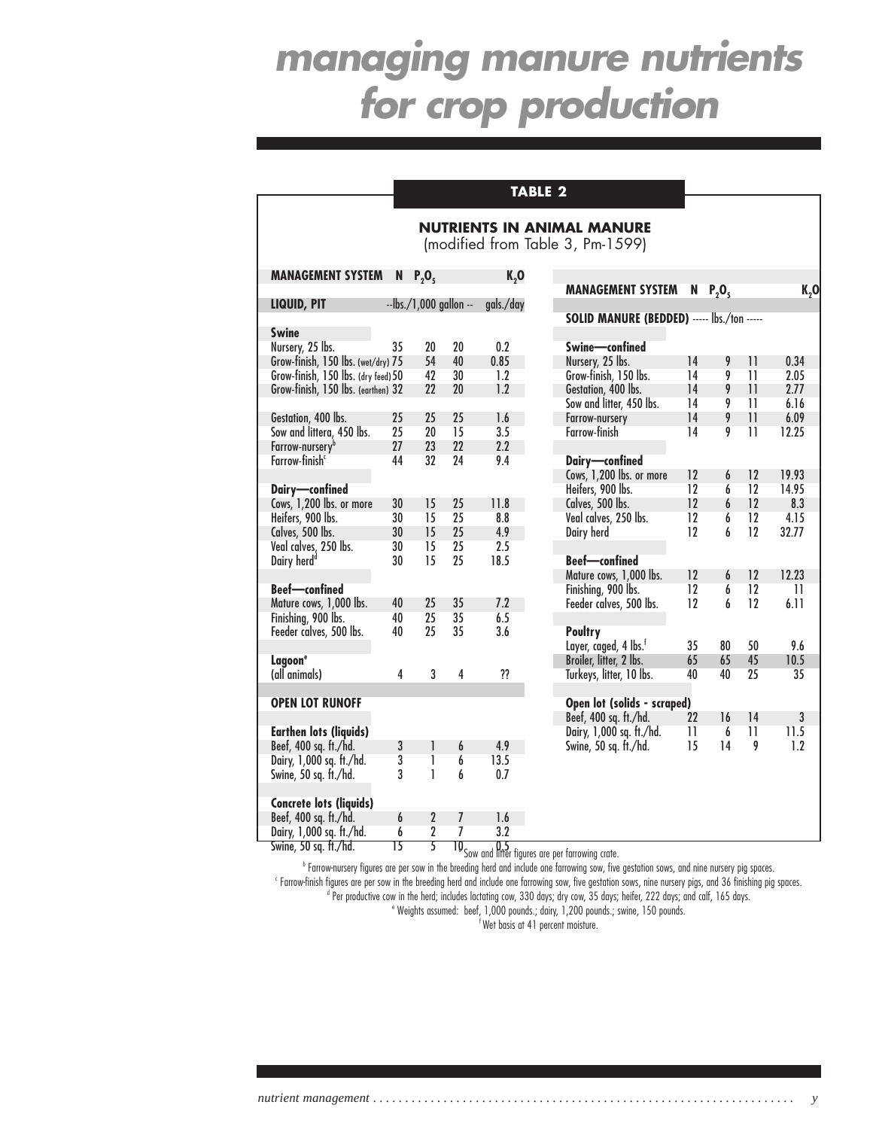### **TABLE 2**

## **NUTRIENTS IN ANIMAL MANURE**

(modified from Table 3, Pm-1599)

| <b>MANAGEMENT SYSTEM</b>                          | N       | $P_2O_5$                  |                     | K, 0                       |                |
|---------------------------------------------------|---------|---------------------------|---------------------|----------------------------|----------------|
|                                                   |         |                           |                     |                            | <b>MAN</b>     |
| LIQUID, PIT                                       |         | $-$ lbs./1,000 gallon $-$ |                     | gals./day                  | <b>SOLID</b>   |
| <b>Swine</b>                                      |         |                           |                     |                            |                |
| Nursery, 25 lbs.                                  | 35      | 20                        | 20                  | 0.2                        | <b>Swine</b>   |
| Grow-finish, 150 lbs. (wet/dry) 75                |         | 54                        | 40                  | 0.85                       | <b>Nurser</b>  |
| Grow-finish, 150 lbs. (dry feed) 50               |         | 42                        | 30                  | 1.2                        | Grow-1         |
| Grow-finish, 150 lbs. (earthen) 32                |         | 22                        | 20                  | 1.2                        | Gestat         |
|                                                   |         |                           |                     |                            | Sow ai         |
| Gestation, 400 lbs.                               | 25      | 25                        | 25                  | 1.6                        | Farrow         |
| Sow and littera, 450 lbs.                         | 25      | 20                        | 15                  | 3.5                        | Farrov         |
| Farrow-nursery <sup>b</sup>                       | 27      | 23                        | 22                  | 2.2                        |                |
| Farrow-finish <sup>c</sup>                        | 44      | 32                        | 24                  | 9.4                        | Dairy          |
|                                                   |         |                           |                     |                            | Cows,          |
| Dairy-confined                                    |         |                           |                     |                            | Heifer         |
| Cows, 1,200 lbs. or more                          | 30      | 15                        | 25                  | 11.8                       | Calves         |
| Heifers, 900 lbs.                                 | 30      | 15                        | 25                  | 8.8                        | Veal co        |
| Calves, 500 lbs.                                  | 30      | 15                        | 25                  | 4.9                        | Dairy          |
| Veal calves, 250 lbs.                             | 30      | 15                        | 25                  | 2.5                        |                |
| Dairy herd <sup>d</sup>                           | 30      | 15                        | 25                  | 18.5                       | Beef-          |
|                                                   |         |                           |                     |                            | Mature         |
| <b>Beef-confined</b>                              |         |                           |                     |                            | Finishi        |
| Mature cows, 1,000 lbs.                           | 40      | 25                        | 35                  | 7.2                        | Feeder         |
| Finishing, 900 lbs.                               | 40      | 25                        | 35                  | 6.5                        |                |
| Feeder calves, 500 lbs.                           | 40      | 25                        | 35                  | 3.6                        | <b>Poult</b>   |
|                                                   |         |                           |                     |                            | Layer,         |
| Lagoon <sup>e</sup>                               |         |                           |                     |                            | <b>Broiler</b> |
| (all animals)                                     | 4       | 3                         | 4                   | ??                         | Turkey         |
|                                                   |         |                           |                     |                            |                |
| <b>OPEN LOT RUNOFF</b>                            |         |                           |                     |                            | <b>Open</b>    |
|                                                   |         |                           |                     |                            | Beef,          |
| <b>Earthen lots (liquids)</b>                     |         |                           |                     |                            | Dairy,         |
| Beef, 400 sq. ft./hd.                             | 3       | 1                         | 6                   | 4.9                        | Swine,         |
| Dairy, 1,000 sq. ft./hd.                          | 3       | 1                         | 6                   | 13.5                       |                |
| Swine, 50 sq. ft./hd.                             | 3       | Ī                         | 6                   | 0.7                        |                |
|                                                   |         |                           |                     |                            |                |
| <b>Concrete lots (liquids)</b>                    | 6       | $\overline{2}$            |                     |                            |                |
| Beef, 400 sq. ft./hd.                             |         |                           | 7<br>7              | 1.6                        |                |
| Dairy, 1,000 sq. ft./hd.<br>Swine, 50 sq. ft./hd. | 6<br>15 | 2<br>5                    | $\Pi$ <sub>c,</sub> | 3.2<br>$0.5_{\text{star}}$ |                |

| <b>MANAGEMENT SYSTEM</b>                   | N  | P, O, |    | K,0   |
|--------------------------------------------|----|-------|----|-------|
| SOLID MANURE (BEDDED) ----- lbs./ton ----- |    |       |    |       |
| Swine-confined                             |    |       |    |       |
| Nursery, 25 lbs.                           | 14 | 9     | 11 | 0.34  |
| Grow-finish, 150 lbs.                      | 14 | 9     | 11 | 2.05  |
| Gestation, 400 lbs.                        | 14 | 9     | 11 | 2.77  |
| Sow and litter, 450 lbs.                   | 14 | 9     | 11 | 6.16  |
| Farrow-nurserv                             | 14 | 9     | 11 | 6.09  |
| Farrow-finish                              | 14 | 9     | 11 | 12.25 |
|                                            |    |       |    |       |
| Dairy-confined                             |    |       |    |       |
| Cows, 1,200 lbs. or more                   | 12 | 6     | 12 | 19.93 |
| Heifers, 900 lbs.                          | 12 | 6     | 12 | 14.95 |
| Calves, 500 lbs.                           | 12 | 6     | 12 | 8.3   |
| Veal calves, 250 lbs.                      | 12 | 6     | 12 | 4.15  |
| Dairy herd                                 | 12 | 6     | 12 | 32.77 |
|                                            |    |       |    |       |
| <b>Beef-confined</b>                       |    |       |    |       |
| Mature cows, 1,000 lbs.                    | 12 | 6     | 12 | 12.23 |
| Finishing, 900 lbs.                        | 12 | 6     | 12 | 11    |
| Feeder calves, 500 lbs.                    | 12 | 6     | 12 | 6.11  |
|                                            |    |       |    |       |
| Poultry                                    |    |       |    |       |
| Layer, caged, 4 lbs. <sup>f</sup>          | 35 | 80    | 50 | 9.6   |
| Broiler, litter, 2 lbs.                    | 65 | 65    | 45 | 10.5  |
| Turkeys, litter, 10 lbs.                   | 40 | 40    | 25 | 35    |
|                                            |    |       |    |       |
| Open lot (solids - scraped)                |    |       |    |       |
| Beef, 400 sq. ft./hd.                      | 22 | 16    | 14 | 3     |
| Dairy, 1,000 sq. ft./hd.                   | 11 | 6     | 11 | 11.5  |
| Swine, 50 sq. ft./hd.                      | 15 | 14    | 9  | 1.2   |
|                                            |    |       |    |       |
|                                            |    |       |    |       |
|                                            |    |       |    |       |
|                                            |    |       |    |       |

a Sow and litter figures are per farrowing crate.

b Farrow-nursery figures are per sow in the breeding herd and include one farrowing sow, five gestation sows, and nine nursery pig spaces. c Farrow-finish figures are per sow in the breeding herd and include one farrowing sow, five gestation sows, nine nursery pigs, and 36 finishing pig spaces. <sup>d</sup> Per productive cow in the herd; includes lactating cow, 330 days; dry cow, 35 days; heifer, 222 days; and calf, 165 days.

e Weights assumed: beef, 1,000 pounds.; dairy, 1,200 pounds.; swine, 150 pounds.  $\frac{1}{2}$  Wet basis at 41 percent moisture.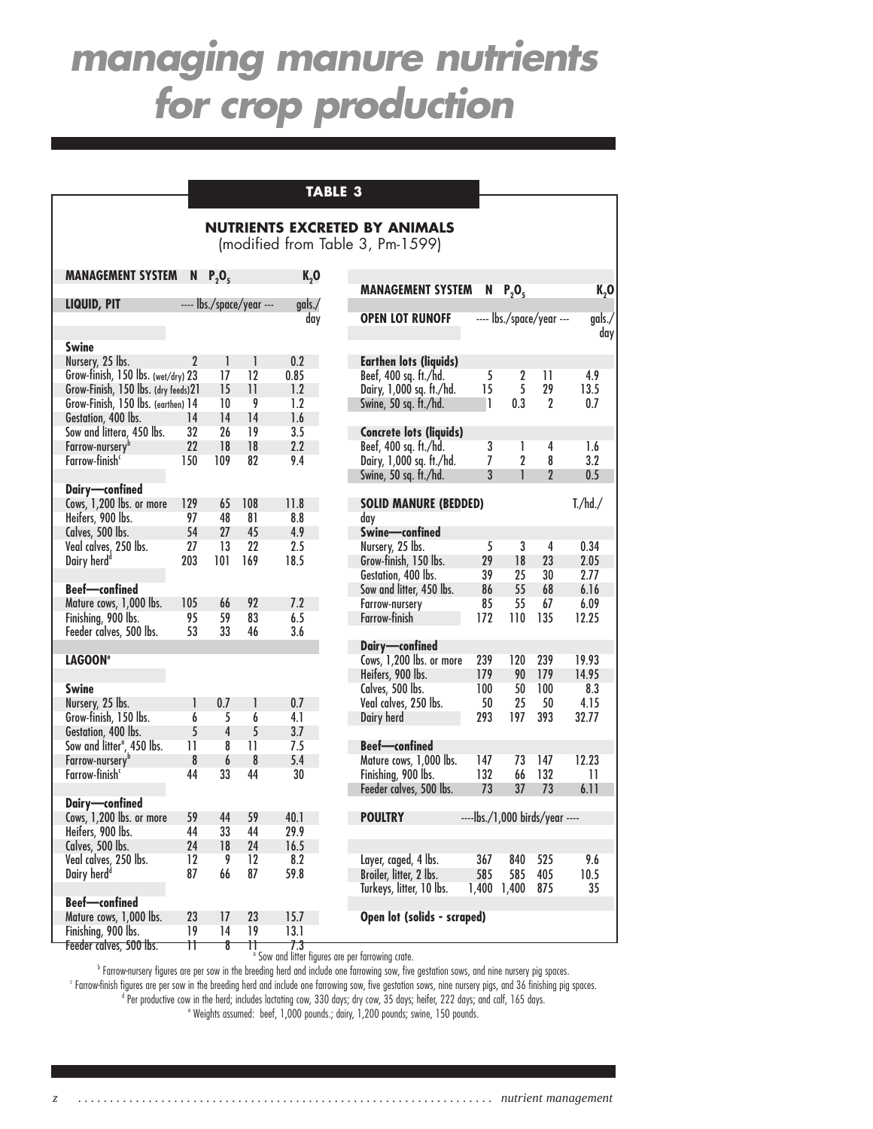## **TABLE 3**

### **NUTRIENTS EXCRETED BY ANIMALS**

(modified from Table 3, Pm-1599)

| <b>MANAGEMENT SYSTEM</b>               | N               | P, O,          |                          | $K_{2}$ O | MANAGEMEI            |
|----------------------------------------|-----------------|----------------|--------------------------|-----------|----------------------|
| LIQUID, PIT                            |                 |                | ---- lbs./space/year --- | qals.     |                      |
|                                        |                 |                |                          | day       | <b>OPEN LOT RI</b>   |
| Swine                                  |                 |                |                          |           |                      |
| Nursery, 25 lbs.                       | $\overline{2}$  | 1              | 1                        | 0.2       | <b>Earthen lots</b>  |
| Grow-finish, 150 lbs. (wet/dry) 23     |                 | 17             | 12                       | 0.85      | Beef, 400 sq. f      |
| Grow-Finish, 150 lbs. (dry feeds)21    |                 | 15             | 11                       | 1.2       | Dairy, 1,000 so      |
| Grow-Finish, 150 lbs. (earthen) 14     |                 | 10             | 9                        | 1.2       | Swine, 50 sq. f      |
| Gestation, 400 lbs.                    | 14              | 14             | 14                       | 1.6       |                      |
| Sow and littera, 450 lbs.              | 32              | 26             | 19                       | 3.5       | <b>Concrete lots</b> |
| Farrow-nursery <sup>b</sup>            | 22              | 18             | 18                       | 2.2       | Beef, 400 sq. f      |
| Farrow-finish <sup>c</sup>             | 150             | 109            | 82                       | 9.4       | Dairy, 1,000 so      |
| Dairy-confined                         |                 |                |                          |           | Swine, 50 sq. f      |
| Cows, 1,200 lbs. or more               | 129             | 65             | 108                      | 11.8      | <b>SOLID MANU</b>    |
| Heifers, 900 lbs.                      | 97              | 48             | 81                       | 8.8       | dav                  |
| Calves, 500 lbs.                       | 54              | 27             | 45                       | 4.9       | Swine-conf           |
| Veal calves, 250 lbs.                  | 27              | 13             | 22                       | 2.5       | Nursery, 25 lbs      |
| Dairy herd <sup>d</sup>                | 203             | 101            | 169                      | 18.5      | Grow-finish, 1!      |
|                                        |                 |                |                          |           | Gestation, 400       |
| <b>Beef-confined</b>                   |                 |                |                          |           | Sow and litter,      |
| Mature cows, 1,000 lbs.                | 105             | 66             | 92                       | 7.2       | Farrow-nursery       |
| Finishing, 900 lbs.                    | 95              | 59             | 83                       | 6.5       | Farrow-finish        |
| Feeder calves, 500 lbs.                | 53              | 33             | 46                       | 3.6       |                      |
|                                        |                 |                |                          |           | Dairy-confi          |
| <b>LAGOON<sup>e</sup></b>              |                 |                |                          |           | Cows, 1,200 lb       |
|                                        |                 |                |                          |           | Heifers, 900 lb      |
| <b>Swine</b>                           |                 |                |                          |           | Calves, 500 lbs      |
| Nursery, 25 lbs.                       | 1               | 0.7            | 1                        | 0.7       | Veal calves, 25      |
| Grow-finish, 150 lbs.                  | 6               | 5              | 6                        | 4.1       | Dairy herd           |
| Gestation, 400 lbs.                    | 5               | $\overline{4}$ | 5                        | 3.7       |                      |
| Sow and litter <sup>a</sup> , 450 lbs. | $\overline{11}$ | 8              | 11                       | 7.5       | <b>Beef-confin</b>   |
| Farrow-nursery <sup>b</sup>            | 8               | 6              | 8                        | 5.4       | Mature cows, 1       |
| Farrow-finish <sup>c</sup>             | 44              | 33             | 44                       | 30        | Finishing, 900       |
|                                        |                 |                |                          |           | Feeder calves,       |
| Dairy-confined                         |                 |                |                          |           |                      |
| Cows, 1,200 lbs. or more               | 59              | 44             | 59                       | 40.1      | <b>POULTRY</b>       |
| Heifers, 900 lbs.                      | 44              | 33             | 44                       | 29.9      |                      |
| Calves, 500 lbs.                       | 24              | 18             | 24                       | 16.5      |                      |
| Veal calves, 250 lbs.                  | 12              | 9              | 12                       | 8.2       | Layer, caged, 4      |
| Dairy herd <sup>d</sup>                | 87              | 66             | 87                       | 59.8      | Broiler, litter, 2   |
|                                        |                 |                |                          |           | Turkeys, litter,     |
| <b>Beef-confined</b>                   |                 |                |                          |           |                      |
| Mature cows, 1,000 lbs.                | 23              | 17             | 23                       | 15.7      | Open lot (sol        |
| Finishing, 900 lbs.                    | 19              | 14             | 19                       | 13.1      |                      |

| <b>MANAGEMENT SYSTEM</b>                                                                                                                          | N                                | P, O,                            |                                               | K,0                                           |
|---------------------------------------------------------------------------------------------------------------------------------------------------|----------------------------------|----------------------------------|-----------------------------------------------|-----------------------------------------------|
| <b>OPEN LOT RUNOFF</b>                                                                                                                            |                                  | ---- lbs./space/year ---         |                                               | qals./<br>day                                 |
| <b>Earthen lots (liquids)</b><br>Beef, 400 sq. ft./hd.<br>Dairy, 1,000 sq. ft./hd.<br>Swine, 50 sq. ft./hd.                                       | 5<br>15<br>1                     | 2<br>5<br>0.3                    | 11<br>29<br>2                                 | 4.9<br>13.5<br>0.7                            |
| <b>Concrete lots (liquids)</b><br>Beef, 400 sq. ft./hd.<br>Dairy, 1,000 sq. ft./hd.<br>Swine, 50 sq. ft./hd.                                      | 3<br>7<br>3                      | 1<br>2<br>1                      | 4<br>8<br>$\overline{2}$                      | 1.6<br>3.2<br>0.5                             |
| <b>SOLID MANURE (BEDDED)</b><br>day                                                                                                               |                                  |                                  |                                               | T./hd./                                       |
| Swine-confined<br>Nursery, 25 lbs.<br>Grow-finish, 150 lbs.<br>Gestation, 400 lbs.<br>Sow and litter, 450 lbs.<br>Farrow-nursery<br>Farrow-finish | 5<br>29<br>39<br>86<br>85<br>172 | 3<br>18<br>25<br>55<br>55<br>110 | $\overline{4}$<br>23<br>30<br>68<br>67<br>135 | 0.34<br>2.05<br>2.77<br>6.16<br>6.09<br>12.25 |
| Dairy-confined<br>Cows, 1,200 lbs. or more<br>Heifers, 900 lbs.<br>Calves, 500 lbs.                                                               | 239<br>179<br>100                | 120<br>90<br>50                  | 239<br>179<br>100                             | 19.93<br>14.95<br>8.3                         |
| Veal calves, 250 lbs.<br>Dairy herd<br><b>Beef-confined</b>                                                                                       | 50<br>293                        | 25<br>197                        | 50<br>393                                     | 4.15<br>32.77                                 |
| Mature cows, 1,000 lbs.<br>Finishing, 900 lbs.<br>Feeder calves, 500 lbs.                                                                         | 147<br>132<br>73                 | 73<br>66<br>37                   | 147<br>132<br>73                              | 12.23<br>11<br>6.11                           |
| <b>POULTRY</b>                                                                                                                                    |                                  | ----lbs./1,000 birds/year ----   |                                               |                                               |
| Layer, caged, 4 lbs.<br>Broiler, litter, 2 lbs.<br>Turkeys, litter, 10 lbs.                                                                       | 367<br>585<br>1,400              | 840<br>585<br>1,400              | 525<br>405<br>875                             | 9.6<br>10.5<br>35                             |
| Open lot (solids - scraped)                                                                                                                       |                                  |                                  |                                               |                                               |

b Farrow-nursery figures are per sow in the breeding herd and include one farrowing sow, five gestation sows, and nine nursery pig spaces.

c Farrow-finish figures are per sow in the breeding herd and include one farrowing sow, five gestation sows, nine nursery pigs, and 36 finishing pig spaces. <sup>d</sup> Per productive cow in the herd; includes lactating cow, 330 days; dry cow, 35 days; heifer, 222 days; and calf, 165 days.

e Weights assumed: beef, 1,000 pounds.; dairy, 1,200 pounds; swine, 150 pounds.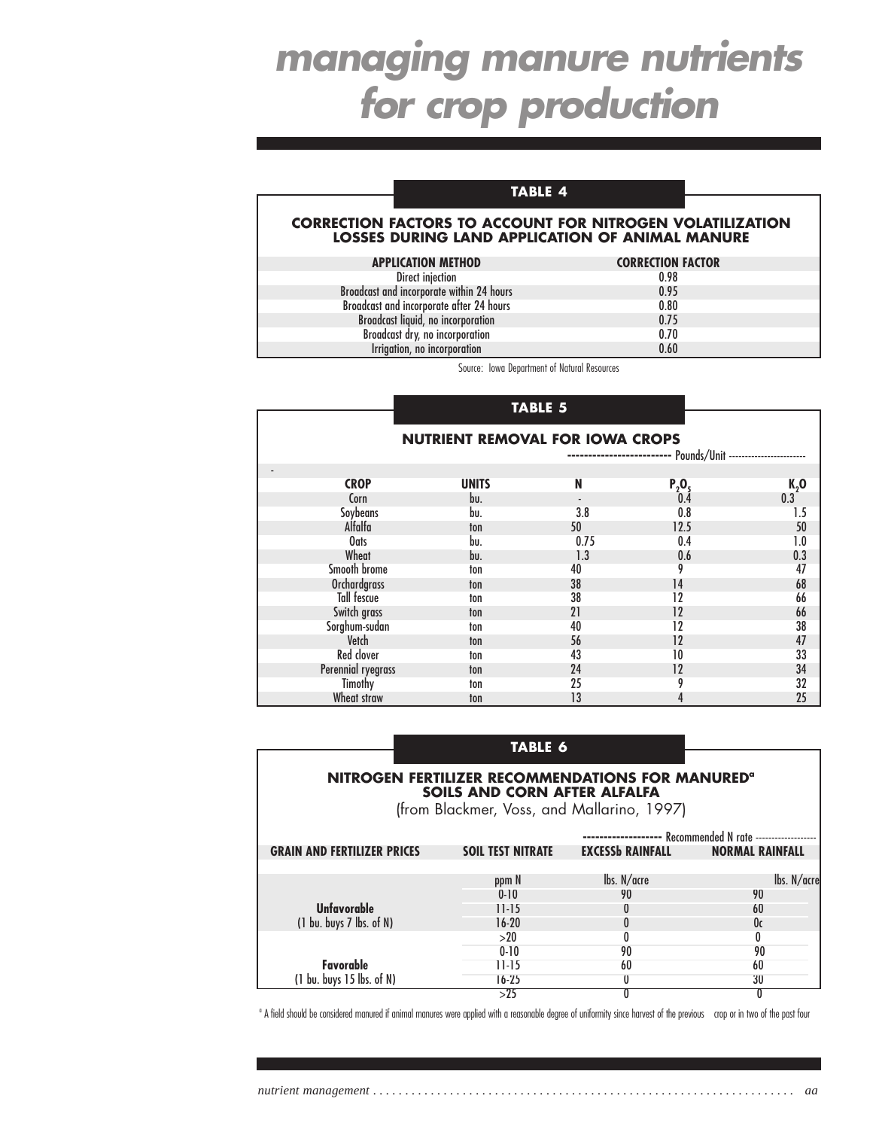### **TABLE 4**

#### **CORRECTION FACTORS TO ACCOUNT FOR NITROGEN VOLATILIZATION LOSSES DURING LAND APPLICATION OF ANIMAL MANURE**

| <b>APPLICATION METHOD</b>                 | <b>CORRECTION FACTOR</b> |
|-------------------------------------------|--------------------------|
| Direct injection                          | 0.98                     |
| Broadcast and incorporate within 24 hours | 0.95                     |
| Broadcast and incorporate after 24 hours  | 0.80                     |
| Broadcast liquid, no incorporation        | 0.75                     |
| Broadcast dry, no incorporation           | 0.70                     |
| Irrigation, no incorporation              | 0.60                     |

Source: Iowa Department of Natural Resources

#### **TABLE 5**

| <b>NUTRIENT REMOVAL FOR IOWA CROPS</b> |              |      |          |        |  |  |
|----------------------------------------|--------------|------|----------|--------|--|--|
|                                        |              |      |          |        |  |  |
| <b>CROP</b>                            | <b>UNITS</b> | N    | $P_2O_5$ | $K2$ O |  |  |
| Corn                                   | bu.          |      | 0.4      | 0.3    |  |  |
| Soybeans                               | bu.          | 3.8  | 0.8      | 1.5    |  |  |
| Alfalfa                                | ton          | 50   | 12.5     | 50     |  |  |
| Oats                                   | bu.          | 0.75 | 0.4      | 1.0    |  |  |
| Wheat                                  | bu.          | 1.3  | 0.6      | 0.3    |  |  |
| Smooth brome                           | ton          | 40   | 9        | 47     |  |  |
| <b>Orchardgrass</b>                    | ton          | 38   | 14       | 68     |  |  |
| Tall fescue                            | ton          | 38   | 12       | 66     |  |  |
| Switch grass                           | ton          | 21   | 12       | 66     |  |  |
| Sorghum-sudan                          | ton          | 40   | 12       | 38     |  |  |
| Vetch                                  | ton          | 56   | 12       | 47     |  |  |
| Red clover                             | ton          | 43   | 10       | 33     |  |  |
| Perennial ryegrass                     | ton          | 24   | 12       | 34     |  |  |
| Timothy                                | ton          | 25   | 9        | 32     |  |  |
| Wheat straw                            | ton          | 13   | 4        | 25     |  |  |

### **TABLE 6**

### **NITROGEN FERTILIZER RECOMMENDATIONS FOR MANURED<sup>®</sup> SOILS AND CORN AFTER ALFALFA**

(from Blackmer, Voss, and Mallarino, 1997)

|                                              |                          |                                 | - Recommended N rate ------------------- |
|----------------------------------------------|--------------------------|---------------------------------|------------------------------------------|
| <b>GRAIN AND FERTILIZER PRICES</b>           | <b>SOIL TEST NITRATE</b> | <b>EXCESSb RAINFALL</b>         | <b>NORMAL RAINFALL</b>                   |
|                                              |                          |                                 |                                          |
|                                              | ppm N                    | $\mathsf{lbs. N}/\mathsf{acre}$ | lbs. N/acre                              |
|                                              | $0 - 10$                 | 90                              | 90                                       |
| <b>Unfavorable</b>                           | $11-15$                  |                                 | 60                                       |
| $(1 \text{ bu. buys } 7 \text{ lbs. of } N)$ | $16-20$                  |                                 | 0c                                       |
|                                              | >20                      |                                 |                                          |
|                                              | $0 - 10$                 | 90                              | 90                                       |
| Favorable                                    | $11 - 15$                | 60                              | 60                                       |
| (1 bu. buys 15 lbs. of N)                    | $16 - 25$                |                                 | 30                                       |
|                                              |                          |                                 |                                          |

<sup>a</sup> A field should be considered manured if animal manures were applied with a reasonable degree of uniformity since harvest of the previous crop or in two of the past four